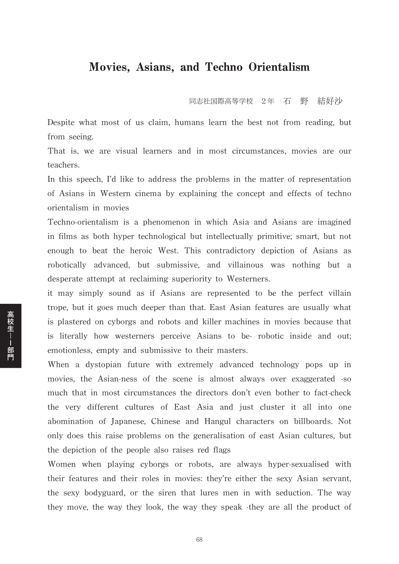## Movies, Asians, and Techno Orientalism

同志社国際高等学校 2年 石 野 結好沙

Despite what most of us claim, humans learn the best not from reading, but from seeing.

That is, we are visual learners and in most circumstances, movies are our teachers.

In this speech, I'd like to address the problems in the matter of representation of Asians in Western cinema by explaining the concept and effects of techno orientalism in movies

Techno-orientalism is a phenomenon in which Asia and Asians are imagined in films as both hyper technological but intellectually primitive; smart, but not enough to beat the heroic West. This contradictory depiction of Asians as robotically advanced, but submissive, and villainous was nothing but a desperate attempt at reclaiming superiority to Westerners.

it may simply sound as if Asians are represented to be the perfect villain trope, but it goes much deeper than that. East Asian features are usually what is plastered on cyborgs and robots and killer machines in movies because that is literally how westerners perceive Asians to be- robotic inside and out; emotionless, empty and submissive to their masters.

When a dystopian future with extremely advanced technology pops up in movies, the Asian-ness of the scene is almost always over exaggerated -so much that in most circumstances the directors don't even bother to fact-check the very different cultures of East Asia and just cluster it all into one abomination of Japanese, Chinese and Hangul characters on billboards. Not only does this raise problems on the generalisation of east Asian cultures, but the depiction of the people also raises red flags

Women when playing cyborgs or robots, are always hyper-sexualised with their features and their roles in movies: they're either the sexy Asian servant, the sexy bodyguard, or the siren that lures men in with seduction. The way they move, the way they look, the way they speak -they are all the product of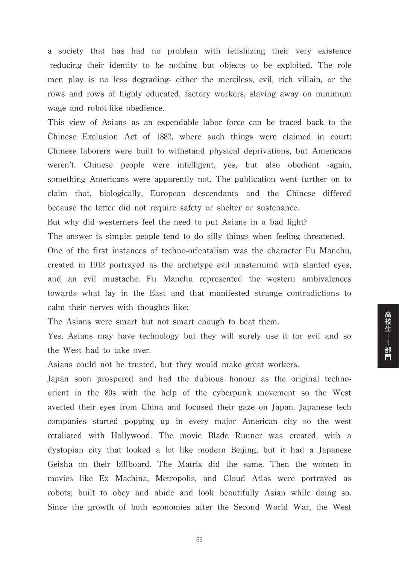a society that has had no problem with fetishizing their very existence -reducing their identity to be nothing but objects to be exploited. The role men play is no less degrading- either the merciless, evil, rich villain, or the rows and rows of highly educated, factory workers, slaving away on minimum wage and robot-like obedience.

This view of Asians as an expendable labor force can be traced back to the Chinese Exclusion Act of 1882, where such things were claimed in court: Chinese laborers were built to withstand physical deprivations, but Americans weren't. Chinese people were intelligent, yes, but also obedient -again, something Americans were apparently not. The publication went further on to claim that, biologically, European descendants and the Chinese differed because the latter did not require safety or shelter or sustenance.

But why did westerners feel the need to put Asians in a bad light?

The answer is simple: people tend to do silly things when feeling threatened.

One of the first instances of techno-orientalism was the character Fu Manchu, created in 1912 portrayed as the archetype evil mastermind with slanted eyes, and an evil mustache. Fu Manchu represented the western ambivalences towards what lay in the East and that manifested strange contradictions to calm their nerves with thoughts like:

The Asians were smart but not smart enough to beat them.

Yes, Asians may have technology but they will surely use it for evil and so the West had to take over.

高校生---部門

Asians could not be trusted, but they would make great workers.

Japan soon prospered and had the dubious honour as the original technoorient in the 80s with the help of the cyberpunk movement so the West averted their eyes from China and focused their gaze on Japan. Japanese tech companies started popping up in every major American city so the west retaliated with Hollywood. The movie Blade Runner was created, with a dystopian city that looked a lot like modern Beijing, but it had a Japanese Geisha on their billboard. The Matrix did the same. Then the women in movies like Ex Machina, Metropolis, and Cloud Atlas were portrayed as robots; built to obey and abide and look beautifully Asian while doing so. Since the growth of both economies after the Second World War, the West

69